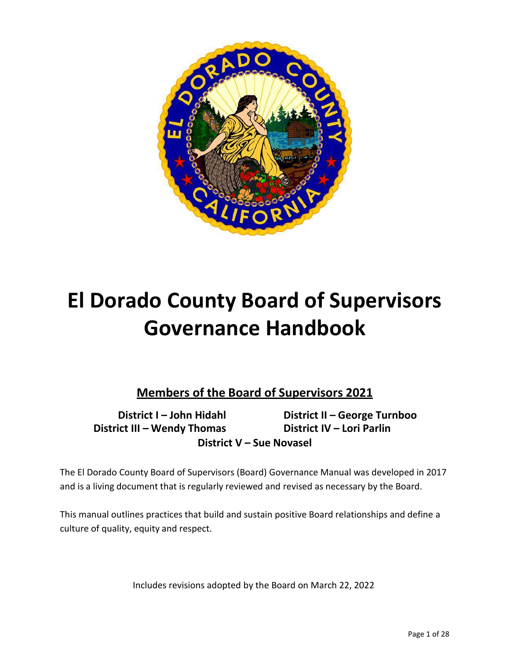

# **El Dorado County Board of Supervisors Governance Handbook**

**Members of the Board of Supervisors 2021**

**District I – John Hidahl District III – Wendy Thomas District V – Sue Novasel**

**District II – George Turnboo District IV – Lori Parlin**

The El Dorado County Board of Supervisors (Board) Governance Manual was developed in 2017 and is a living document that is regularly reviewed and revised as necessary by the Board.

This manual outlines practices that build and sustain positive Board relationships and define a culture of quality, equity and respect.

Includes revisions adopted by the Board on March 22, 2022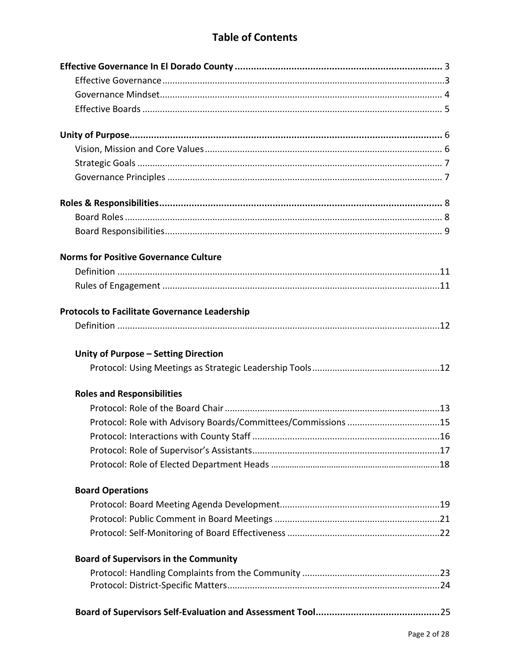# **Table of Contents**

| <b>Norms for Positive Governance Culture</b>                  |
|---------------------------------------------------------------|
|                                                               |
|                                                               |
| <b>Protocols to Facilitate Governance Leadership</b>          |
|                                                               |
|                                                               |
| Unity of Purpose - Setting Direction                          |
|                                                               |
| <b>Roles and Responsibilities</b>                             |
|                                                               |
| Protocol: Role with Advisory Boards/Committees/Commissions 15 |
|                                                               |
|                                                               |
|                                                               |
| <b>Board Operations</b>                                       |
|                                                               |
|                                                               |
|                                                               |
| <b>Board of Supervisors in the Community</b>                  |
|                                                               |
|                                                               |
|                                                               |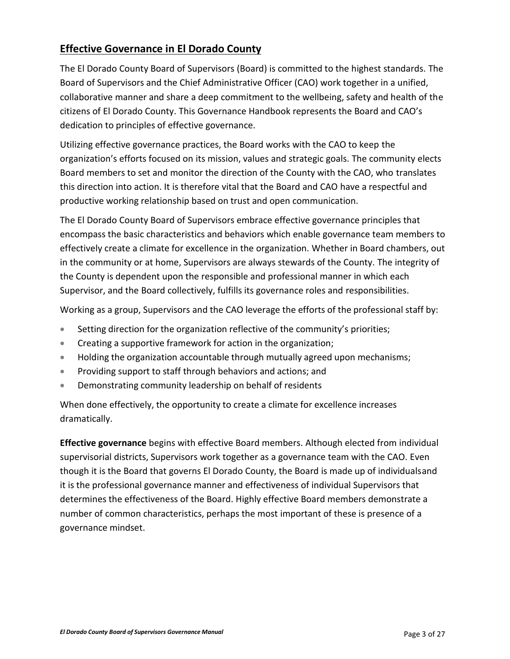### <span id="page-2-0"></span>**Effective Governance in El Dorado County**

The El Dorado County Board of Supervisors (Board) is committed to the highest standards. The Board of Supervisors and the Chief Administrative Officer (CAO) work together in a unified, collaborative manner and share a deep commitment to the wellbeing, safety and health of the citizens of El Dorado County. This Governance Handbook represents the Board and CAO's dedication to principles of effective governance.

Utilizing effective governance practices, the Board works with the CAO to keep the organization's efforts focused on its mission, values and strategic goals. The community elects Board members to set and monitor the direction of the County with the CAO, who translates this direction into action. It is therefore vital that the Board and CAO have a respectful and productive working relationship based on trust and open communication.

The El Dorado County Board of Supervisors embrace effective governance principles that encompass the basic characteristics and behaviors which enable governance team members to effectively create a climate for excellence in the organization. Whether in Board chambers, out in the community or at home, Supervisors are always stewards of the County. The integrity of the County is dependent upon the responsible and professional manner in which each Supervisor, and the Board collectively, fulfills its governance roles and responsibilities.

Working as a group, Supervisors and the CAO leverage the efforts of the professional staff by:

- Setting direction for the organization reflective of the community's priorities;
- Creating a supportive framework for action in the organization;
- Holding the organization accountable through mutually agreed upon mechanisms;
- **•** Providing support to staff through behaviors and actions; and
- Demonstrating community leadership on behalf of residents

When done effectively, the opportunity to create a climate for excellence increases dramatically.

**Effective governance** begins with effective Board members. Although elected from individual supervisorial districts, Supervisors work together as a governance team with the CAO. Even though it is the Board that governs El Dorado County, the Board is made up of individualsand it is the professional governance manner and effectiveness of individual Supervisors that determines the effectiveness of the Board. Highly effective Board members demonstrate a number of common characteristics, perhaps the most important of these is presence of a governance mindset.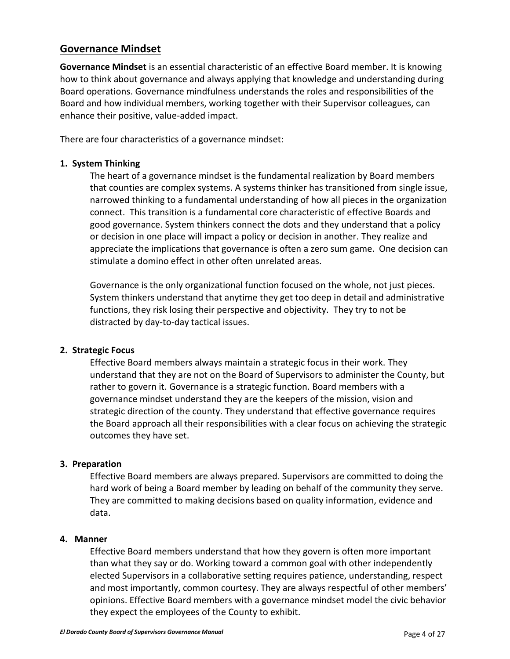### <span id="page-3-0"></span>**Governance Mindset**

**Governance Mindset** is an essential characteristic of an effective Board member. It is knowing how to think about governance and always applying that knowledge and understanding during Board operations. Governance mindfulness understands the roles and responsibilities of the Board and how individual members, working together with their Supervisor colleagues, can enhance their positive, value-added impact.

There are four characteristics of a governance mindset:

#### **1. System Thinking**

The heart of a governance mindset is the fundamental realization by Board members that counties are complex systems. A systems thinker has transitioned from single issue, narrowed thinking to a fundamental understanding of how all pieces in the organization connect. This transition is a fundamental core characteristic of effective Boards and good governance. System thinkers connect the dots and they understand that a policy or decision in one place will impact a policy or decision in another. They realize and appreciate the implications that governance is often a zero sum game. One decision can stimulate a domino effect in other often unrelated areas.

Governance is the only organizational function focused on the whole, not just pieces. System thinkers understand that anytime they get too deep in detail and administrative functions, they risk losing their perspective and objectivity. They try to not be distracted by day-to-day tactical issues.

#### **2. Strategic Focus**

Effective Board members always maintain a strategic focus in their work. They understand that they are not on the Board of Supervisors to administer the County, but rather to govern it. Governance is a strategic function. Board members with a governance mindset understand they are the keepers of the mission, vision and strategic direction of the county. They understand that effective governance requires the Board approach all their responsibilities with a clear focus on achieving the strategic outcomes they have set.

#### **3. Preparation**

Effective Board members are always prepared. Supervisors are committed to doing the hard work of being a Board member by leading on behalf of the community they serve. They are committed to making decisions based on quality information, evidence and data.

#### **4. Manner**

Effective Board members understand that how they govern is often more important than what they say or do. Working toward a common goal with other independently elected Supervisors in a collaborative setting requires patience, understanding, respect and most importantly, common courtesy. They are always respectful of other members' opinions. Effective Board members with a governance mindset model the civic behavior they expect the employees of the County to exhibit.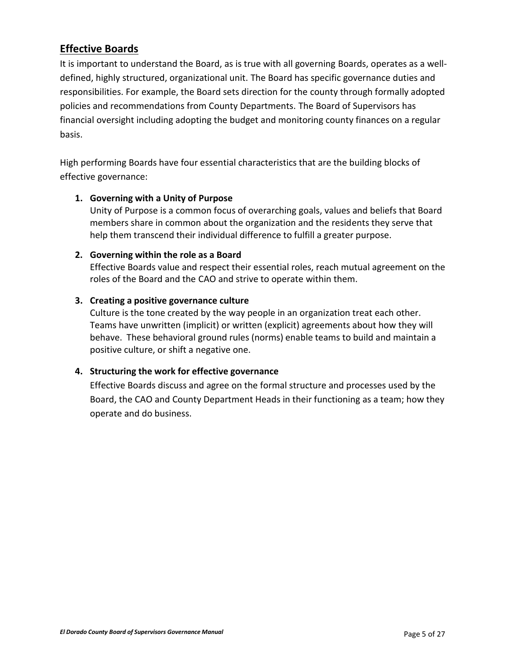### <span id="page-4-0"></span>**Effective Boards**

It is important to understand the Board, as is true with all governing Boards, operates as a welldefined, highly structured, organizational unit. The Board has specific governance duties and responsibilities. For example, the Board sets direction for the county through formally adopted policies and recommendations from County Departments. The Board of Supervisors has financial oversight including adopting the budget and monitoring county finances on a regular basis.

High performing Boards have four essential characteristics that are the building blocks of effective governance:

#### **1. Governing with a Unity of Purpose**

Unity of Purpose is a common focus of overarching goals, values and beliefs that Board members share in common about the organization and the residents they serve that help them transcend their individual difference to fulfill a greater purpose.

#### **2. Governing within the role as a Board**

Effective Boards value and respect their essential roles, reach mutual agreement on the roles of the Board and the CAO and strive to operate within them.

#### **3. Creating a positive governance culture**

Culture is the tone created by the way people in an organization treat each other. Teams have unwritten (implicit) or written (explicit) agreements about how they will behave. These behavioral ground rules (norms) enable teams to build and maintain a positive culture, or shift a negative one.

#### **4. Structuring the work for effective governance**

Effective Boards discuss and agree on the formal structure and processes used by the Board, the CAO and County Department Heads in their functioning as a team; how they operate and do business.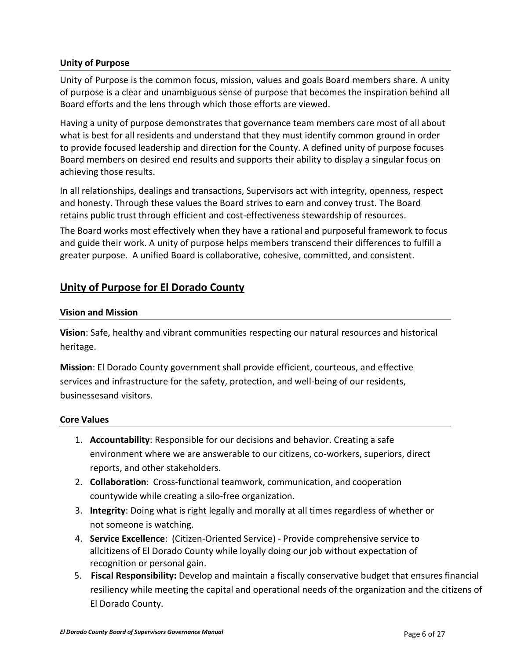#### <span id="page-5-0"></span>**Unity of Purpose**

Unity of Purpose is the common focus, mission, values and goals Board members share. A unity of purpose is a clear and unambiguous sense of purpose that becomes the inspiration behind all Board efforts and the lens through which those efforts are viewed.

Having a unity of purpose demonstrates that governance team members care most of all about what is best for all residents and understand that they must identify common ground in order to provide focused leadership and direction for the County. A defined unity of purpose focuses Board members on desired end results and supports their ability to display a singular focus on achieving those results.

In all relationships, dealings and transactions, Supervisors act with integrity, openness, respect and honesty. Through these values the Board strives to earn and convey trust. The Board retains public trust through efficient and cost-effectiveness stewardship of resources.

The Board works most effectively when they have a rational and purposeful framework to focus and guide their work. A unity of purpose helps members transcend their differences to fulfill a greater purpose. A unified Board is collaborative, cohesive, committed, and consistent.

### **Unity of Purpose for El Dorado County**

#### **Vision and Mission**

**Vision**: Safe, healthy and vibrant communities respecting our natural resources and historical heritage.

**Mission**: El Dorado County government shall provide efficient, courteous, and effective services and infrastructure for the safety, protection, and well-being of our residents, businessesand visitors.

#### **Core Values**

- 1. **Accountability**: Responsible for our decisions and behavior. Creating a safe environment where we are answerable to our citizens, co-workers, superiors, direct reports, and other stakeholders.
- 2. **Collaboration**: Cross-functional teamwork, communication, and cooperation countywide while creating a silo-free organization.
- 3. **Integrity**: Doing what is right legally and morally at all times regardless of whether or not someone is watching.
- 4. **Service Excellence**: (Citizen-Oriented Service) Provide comprehensive service to allcitizens of El Dorado County while loyally doing our job without expectation of recognition or personal gain.
- 5. **Fiscal Responsibility:** Develop and maintain a fiscally conservative budget that ensures financial resiliency while meeting the capital and operational needs of the organization and the citizens of El Dorado County.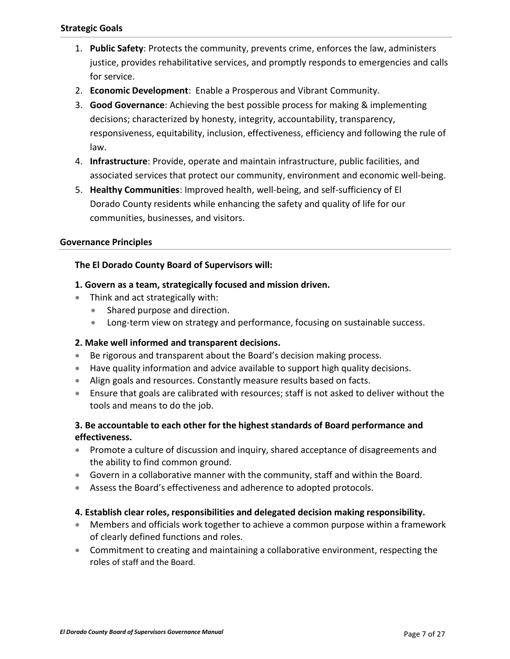- <span id="page-6-0"></span>1. **Public Safety**: Protects the community, prevents crime, enforces the law, administers justice, provides rehabilitative services, and promptly responds to emergencies and calls for service.
- 2. **Economic Development**: Enable a Prosperous and Vibrant Community.
- 3. **Good Governance**: Achieving the best possible process for making & implementing decisions; characterized by honesty, integrity, accountability, transparency, responsiveness, equitability, inclusion, effectiveness, efficiency and following the rule of law.
- 4. **Infrastructure**: Provide, operate and maintain infrastructure, public facilities, and associated services that protect our community, environment and economic well-being.
- 5. **Healthy Communities**: Improved health, well-being, and self-sufficiency of El Dorado County residents while enhancing the safety and quality of life for our communities, businesses, and visitors.

#### <span id="page-6-1"></span>**Governance Principles**

#### **The El Dorado County Board of Supervisors will:**

#### **1. Govern as a team, strategically focused and mission driven.**

- Think and act strategically with:
	- Shared purpose and direction.
	- **Long-term view on strategy and performance, focusing on sustainable success.**

#### **2. Make well informed and transparent decisions.**

- Be rigorous and transparent about the Board's decision making process.
- Have quality information and advice available to support high quality decisions.
- Align goals and resources. Constantly measure results based on facts.
- Ensure that goals are calibrated with resources; staff is not asked to deliver without the tools and means to do the job.

#### **3. Be accountable to each other for the highest standards of Board performance and effectiveness.**

- Promote a culture of discussion and inquiry, shared acceptance of disagreements and the ability to find common ground.
- Govern in a collaborative manner with the community, staff and within the Board.
- Assess the Board's effectiveness and adherence to adopted protocols.

#### **4. Establish clear roles, responsibilities and delegated decision making responsibility.**

- Members and officials work together to achieve a common purpose within a framework of clearly defined functions and roles.
- Commitment to creating and maintaining a collaborative environment, respecting the roles of staff and the Board.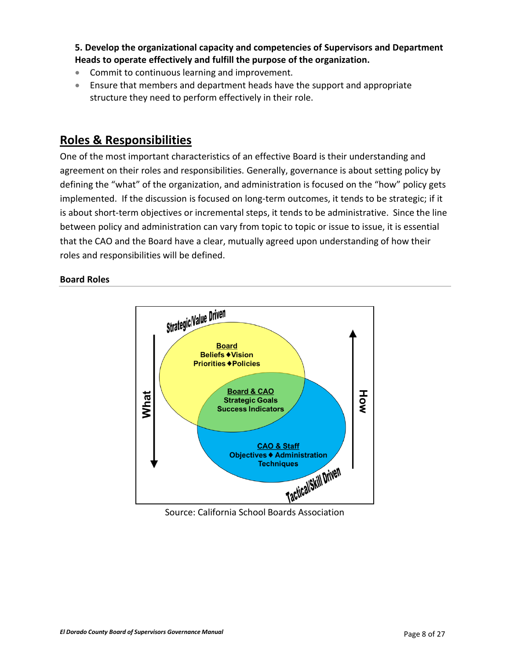**5. Develop the organizational capacity and competencies of Supervisors and Department Heads to operate effectively and fulfill the purpose of the organization.**

- Commit to continuous learning and improvement.
- Ensure that members and department heads have the support and appropriate structure they need to perform effectively in their role.

## <span id="page-7-0"></span>**Roles & Responsibilities**

One of the most important characteristics of an effective Board is their understanding and agreement on their roles and responsibilities. Generally, governance is about setting policy by defining the "what" of the organization, and administration is focused on the "how" policy gets implemented. If the discussion is focused on long-term outcomes, it tends to be strategic; if it is about short-term objectives or incremental steps, it tends to be administrative. Since the line between policy and administration can vary from topic to topic or issue to issue, it is essential that the CAO and the Board have a clear, mutually agreed upon understanding of how their roles and responsibilities will be defined.

#### <span id="page-7-1"></span>**Board Roles**

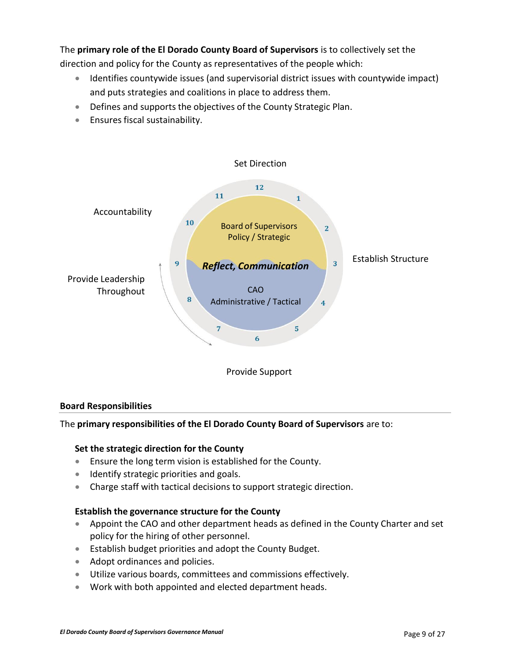### The **primary role of the El Dorado County Board of Supervisors** is to collectively set the

direction and policy for the County as representatives of the people which:

- Identifies countywide issues (and supervisorial district issues with countywide impact) and puts strategies and coalitions in place to address them.
- Defines and supports the objectives of the County Strategic Plan.
- Ensures fiscal sustainability.



#### <span id="page-8-0"></span>**Board Responsibilities**

The **primary responsibilities of the El Dorado County Board of Supervisors** are to:

#### **Set the strategic direction for the County**

- Ensure the long term vision is established for the County.
- **Identify strategic priorities and goals.**
- Charge staff with tactical decisions to support strategic direction.

#### **Establish the governance structure for the County**

- Appoint the CAO and other department heads as defined in the County Charter and set policy for the hiring of other personnel.
- Establish budget priorities and adopt the County Budget.
- Adopt ordinances and policies.
- Utilize various boards, committees and commissions effectively.
- Work with both appointed and elected department heads.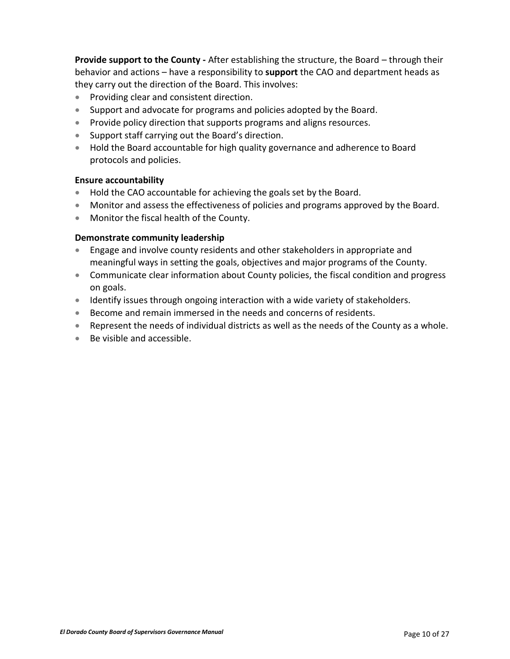**Provide support to the County -** After establishing the structure, the Board – through their behavior and actions – have a responsibility to **support** the CAO and department heads as they carry out the direction of the Board. This involves:

- Providing clear and consistent direction.
- Support and advocate for programs and policies adopted by the Board.
- Provide policy direction that supports programs and aligns resources.
- Support staff carrying out the Board's direction.
- Hold the Board accountable for high quality governance and adherence to Board protocols and policies.

#### **Ensure accountability**

- Hold the CAO accountable for achieving the goals set by the Board.
- Monitor and assess the effectiveness of policies and programs approved by the Board.
- Monitor the fiscal health of the County.

#### **Demonstrate community leadership**

- Engage and involve county residents and other stakeholders in appropriate and meaningful ways in setting the goals, objectives and major programs of the County.
- Communicate clear information about County policies, the fiscal condition and progress on goals.
- Identify issues through ongoing interaction with a wide variety of stakeholders.
- Become and remain immersed in the needs and concerns of residents.
- Represent the needs of individual districts as well as the needs of the County as a whole.
- Be visible and accessible.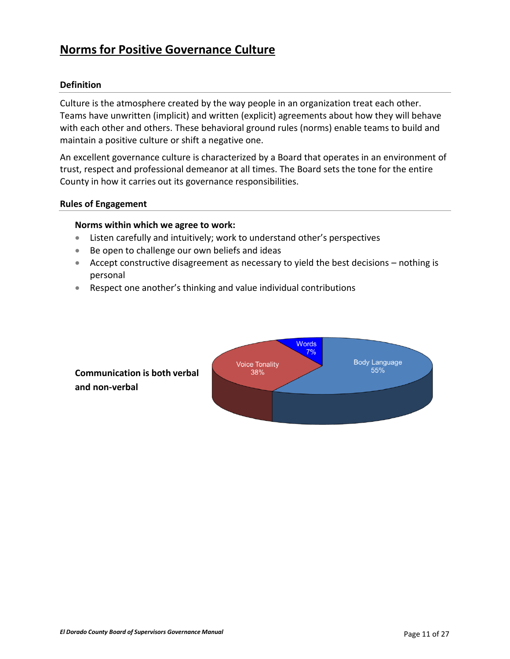### <span id="page-10-0"></span>**Norms for Positive Governance Culture**

#### <span id="page-10-1"></span>**Definition**

Culture is the atmosphere created by the way people in an organization treat each other. Teams have unwritten (implicit) and written (explicit) agreements about how they will behave with each other and others. These behavioral ground rules (norms) enable teams to build and maintain a positive culture or shift a negative one.

An excellent governance culture is characterized by a Board that operates in an environment of trust, respect and professional demeanor at all times. The Board sets the tone for the entire County in how it carries out its governance responsibilities.

#### <span id="page-10-2"></span>**Rules of Engagement**

#### **Norms within which we agree to work:**

- Listen carefully and intuitively; work to understand other's perspectives
- Be open to challenge our own beliefs and ideas
- Accept constructive disagreement as necessary to yield the best decisions nothing is personal
- Respect one another's thinking and value individual contributions



**Communication is both verbal and non-verbal**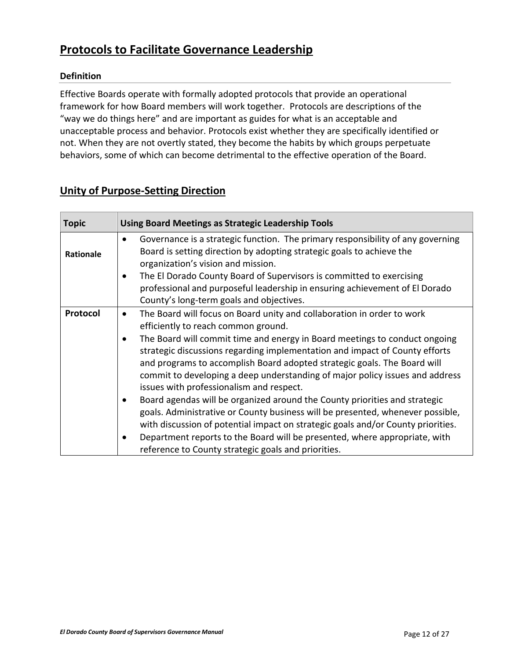### <span id="page-11-0"></span>**Protocols to Facilitate Governance Leadership**

### **Definition**

Effective Boards operate with formally adopted protocols that provide an operational framework for how Board members will work together. Protocols are descriptions of the "way we do things here" and are important as guides for what is an acceptable and unacceptable process and behavior. Protocols exist whether they are specifically identified or not. When they are not overtly stated, they become the habits by which groups perpetuate behaviors, some of which can become detrimental to the effective operation of the Board.

### <span id="page-11-1"></span>**Unity of Purpose-Setting Direction**

| <b>Topic</b> | <b>Using Board Meetings as Strategic Leadership Tools</b>                                                                                                                                                                                                                                                                                                                                                                                                                                                                                                                                                                                                                                                                                                                                                                                                                                                                       |
|--------------|---------------------------------------------------------------------------------------------------------------------------------------------------------------------------------------------------------------------------------------------------------------------------------------------------------------------------------------------------------------------------------------------------------------------------------------------------------------------------------------------------------------------------------------------------------------------------------------------------------------------------------------------------------------------------------------------------------------------------------------------------------------------------------------------------------------------------------------------------------------------------------------------------------------------------------|
| Rationale    | Governance is a strategic function. The primary responsibility of any governing<br>$\bullet$<br>Board is setting direction by adopting strategic goals to achieve the<br>organization's vision and mission.<br>The El Dorado County Board of Supervisors is committed to exercising<br>$\bullet$<br>professional and purposeful leadership in ensuring achievement of El Dorado<br>County's long-term goals and objectives.                                                                                                                                                                                                                                                                                                                                                                                                                                                                                                     |
| Protocol     | The Board will focus on Board unity and collaboration in order to work<br>$\bullet$<br>efficiently to reach common ground.<br>The Board will commit time and energy in Board meetings to conduct ongoing<br>$\bullet$<br>strategic discussions regarding implementation and impact of County efforts<br>and programs to accomplish Board adopted strategic goals. The Board will<br>commit to developing a deep understanding of major policy issues and address<br>issues with professionalism and respect.<br>Board agendas will be organized around the County priorities and strategic<br>$\bullet$<br>goals. Administrative or County business will be presented, whenever possible,<br>with discussion of potential impact on strategic goals and/or County priorities.<br>Department reports to the Board will be presented, where appropriate, with<br>$\bullet$<br>reference to County strategic goals and priorities. |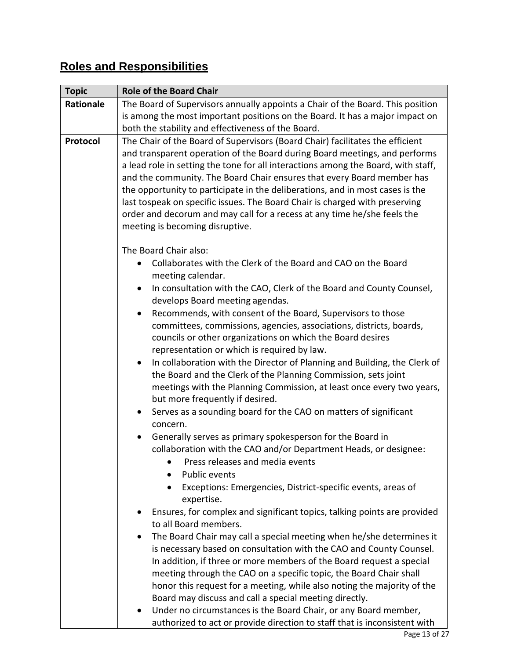<span id="page-12-0"></span>

| <b>Topic</b> | <b>Role of the Board Chair</b>                                                                                                                                                                                                                                                                                                                                                                                                                                                                                           |
|--------------|--------------------------------------------------------------------------------------------------------------------------------------------------------------------------------------------------------------------------------------------------------------------------------------------------------------------------------------------------------------------------------------------------------------------------------------------------------------------------------------------------------------------------|
| Rationale    | The Board of Supervisors annually appoints a Chair of the Board. This position                                                                                                                                                                                                                                                                                                                                                                                                                                           |
|              | is among the most important positions on the Board. It has a major impact on                                                                                                                                                                                                                                                                                                                                                                                                                                             |
|              | both the stability and effectiveness of the Board.                                                                                                                                                                                                                                                                                                                                                                                                                                                                       |
| Protocol     | The Chair of the Board of Supervisors (Board Chair) facilitates the efficient                                                                                                                                                                                                                                                                                                                                                                                                                                            |
|              | and transparent operation of the Board during Board meetings, and performs<br>a lead role in setting the tone for all interactions among the Board, with staff,<br>and the community. The Board Chair ensures that every Board member has<br>the opportunity to participate in the deliberations, and in most cases is the<br>last tospeak on specific issues. The Board Chair is charged with preserving<br>order and decorum and may call for a recess at any time he/she feels the<br>meeting is becoming disruptive. |
|              | The Board Chair also:                                                                                                                                                                                                                                                                                                                                                                                                                                                                                                    |
|              | Collaborates with the Clerk of the Board and CAO on the Board<br>$\bullet$<br>meeting calendar.                                                                                                                                                                                                                                                                                                                                                                                                                          |
|              | In consultation with the CAO, Clerk of the Board and County Counsel,<br>$\bullet$<br>develops Board meeting agendas.                                                                                                                                                                                                                                                                                                                                                                                                     |
|              | Recommends, with consent of the Board, Supervisors to those<br>$\bullet$                                                                                                                                                                                                                                                                                                                                                                                                                                                 |
|              | committees, commissions, agencies, associations, districts, boards,                                                                                                                                                                                                                                                                                                                                                                                                                                                      |
|              | councils or other organizations on which the Board desires                                                                                                                                                                                                                                                                                                                                                                                                                                                               |
|              | representation or which is required by law.                                                                                                                                                                                                                                                                                                                                                                                                                                                                              |
|              | In collaboration with the Director of Planning and Building, the Clerk of<br>$\bullet$<br>the Board and the Clerk of the Planning Commission, sets joint                                                                                                                                                                                                                                                                                                                                                                 |
|              | meetings with the Planning Commission, at least once every two years,<br>but more frequently if desired.                                                                                                                                                                                                                                                                                                                                                                                                                 |
|              | Serves as a sounding board for the CAO on matters of significant<br>$\bullet$                                                                                                                                                                                                                                                                                                                                                                                                                                            |
|              | concern.                                                                                                                                                                                                                                                                                                                                                                                                                                                                                                                 |
|              | Generally serves as primary spokesperson for the Board in<br>$\bullet$                                                                                                                                                                                                                                                                                                                                                                                                                                                   |
|              | collaboration with the CAO and/or Department Heads, or designee:                                                                                                                                                                                                                                                                                                                                                                                                                                                         |
|              | Press releases and media events                                                                                                                                                                                                                                                                                                                                                                                                                                                                                          |
|              | <b>Public events</b>                                                                                                                                                                                                                                                                                                                                                                                                                                                                                                     |
|              | Exceptions: Emergencies, District-specific events, areas of<br>expertise.                                                                                                                                                                                                                                                                                                                                                                                                                                                |
|              | Ensures, for complex and significant topics, talking points are provided                                                                                                                                                                                                                                                                                                                                                                                                                                                 |
|              | to all Board members.                                                                                                                                                                                                                                                                                                                                                                                                                                                                                                    |
|              | The Board Chair may call a special meeting when he/she determines it<br>$\bullet$                                                                                                                                                                                                                                                                                                                                                                                                                                        |
|              | is necessary based on consultation with the CAO and County Counsel.                                                                                                                                                                                                                                                                                                                                                                                                                                                      |
|              | In addition, if three or more members of the Board request a special                                                                                                                                                                                                                                                                                                                                                                                                                                                     |
|              | meeting through the CAO on a specific topic, the Board Chair shall                                                                                                                                                                                                                                                                                                                                                                                                                                                       |
|              | honor this request for a meeting, while also noting the majority of the<br>Board may discuss and call a special meeting directly.                                                                                                                                                                                                                                                                                                                                                                                        |
|              | Under no circumstances is the Board Chair, or any Board member,                                                                                                                                                                                                                                                                                                                                                                                                                                                          |
|              | authorized to act or provide direction to staff that is inconsistent with                                                                                                                                                                                                                                                                                                                                                                                                                                                |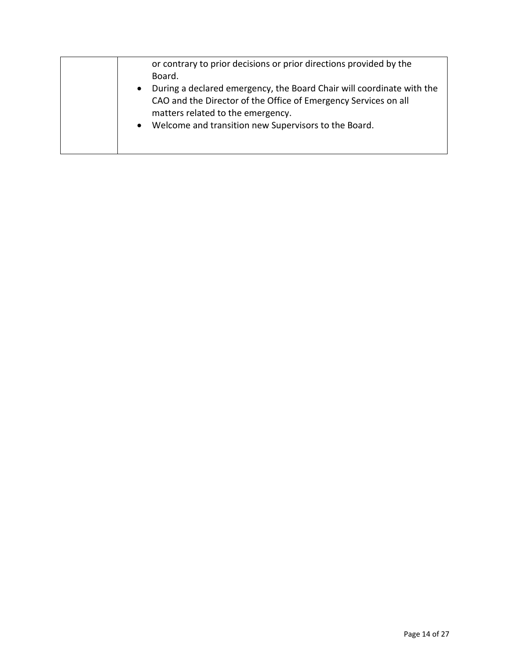|  | or contrary to prior decisions or prior directions provided by the<br>Board.<br>During a declared emergency, the Board Chair will coordinate with the<br>CAO and the Director of the Office of Emergency Services on all<br>matters related to the emergency.<br>Welcome and transition new Supervisors to the Board.<br>$\bullet$ |
|--|------------------------------------------------------------------------------------------------------------------------------------------------------------------------------------------------------------------------------------------------------------------------------------------------------------------------------------|
|--|------------------------------------------------------------------------------------------------------------------------------------------------------------------------------------------------------------------------------------------------------------------------------------------------------------------------------------|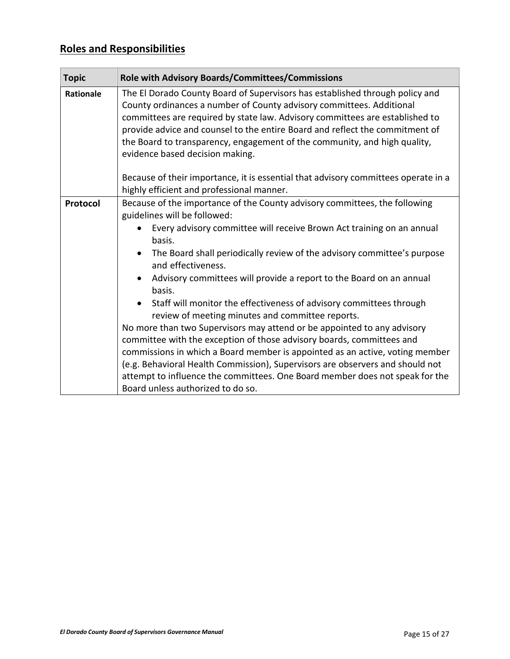| <b>Topic</b>     | <b>Role with Advisory Boards/Committees/Commissions</b>                                                                                                                                                                                                                                                                                                                                                                                                                                                                                                                                                                                                                                                                                                                                                                                                                                                                                              |
|------------------|------------------------------------------------------------------------------------------------------------------------------------------------------------------------------------------------------------------------------------------------------------------------------------------------------------------------------------------------------------------------------------------------------------------------------------------------------------------------------------------------------------------------------------------------------------------------------------------------------------------------------------------------------------------------------------------------------------------------------------------------------------------------------------------------------------------------------------------------------------------------------------------------------------------------------------------------------|
| <b>Rationale</b> | The El Dorado County Board of Supervisors has established through policy and<br>County ordinances a number of County advisory committees. Additional<br>committees are required by state law. Advisory committees are established to<br>provide advice and counsel to the entire Board and reflect the commitment of<br>the Board to transparency, engagement of the community, and high quality,<br>evidence based decision making.                                                                                                                                                                                                                                                                                                                                                                                                                                                                                                                 |
|                  | Because of their importance, it is essential that advisory committees operate in a<br>highly efficient and professional manner.                                                                                                                                                                                                                                                                                                                                                                                                                                                                                                                                                                                                                                                                                                                                                                                                                      |
| Protocol         | Because of the importance of the County advisory committees, the following<br>guidelines will be followed:<br>Every advisory committee will receive Brown Act training on an annual<br>basis.<br>The Board shall periodically review of the advisory committee's purpose<br>and effectiveness.<br>Advisory committees will provide a report to the Board on an annual<br>basis.<br>Staff will monitor the effectiveness of advisory committees through<br>review of meeting minutes and committee reports.<br>No more than two Supervisors may attend or be appointed to any advisory<br>committee with the exception of those advisory boards, committees and<br>commissions in which a Board member is appointed as an active, voting member<br>(e.g. Behavioral Health Commission), Supervisors are observers and should not<br>attempt to influence the committees. One Board member does not speak for the<br>Board unless authorized to do so. |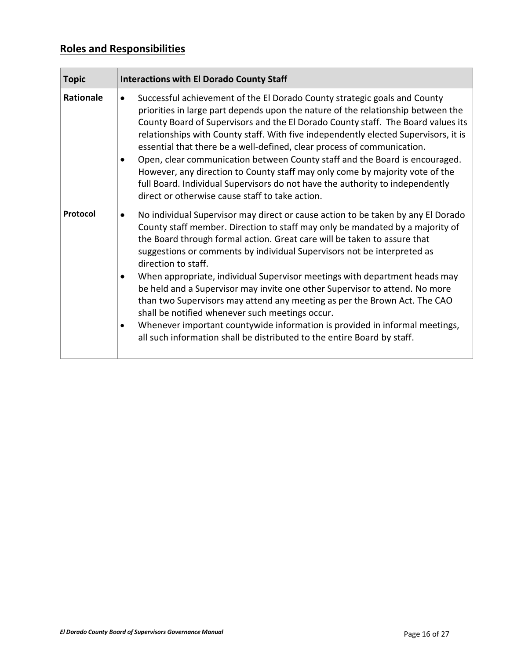| <b>Topic</b> | <b>Interactions with El Dorado County Staff</b>                                                                                                                                                                                                                                                                                                                                                                                                                                                                                                                                                                                                                                                                                                                                                                                  |
|--------------|----------------------------------------------------------------------------------------------------------------------------------------------------------------------------------------------------------------------------------------------------------------------------------------------------------------------------------------------------------------------------------------------------------------------------------------------------------------------------------------------------------------------------------------------------------------------------------------------------------------------------------------------------------------------------------------------------------------------------------------------------------------------------------------------------------------------------------|
| Rationale    | Successful achievement of the El Dorado County strategic goals and County<br>$\bullet$<br>priorities in large part depends upon the nature of the relationship between the<br>County Board of Supervisors and the El Dorado County staff. The Board values its<br>relationships with County staff. With five independently elected Supervisors, it is<br>essential that there be a well-defined, clear process of communication.<br>Open, clear communication between County staff and the Board is encouraged.<br>$\bullet$<br>However, any direction to County staff may only come by majority vote of the<br>full Board. Individual Supervisors do not have the authority to independently<br>direct or otherwise cause staff to take action.                                                                                 |
| Protocol     | No individual Supervisor may direct or cause action to be taken by any El Dorado<br>County staff member. Direction to staff may only be mandated by a majority of<br>the Board through formal action. Great care will be taken to assure that<br>suggestions or comments by individual Supervisors not be interpreted as<br>direction to staff.<br>When appropriate, individual Supervisor meetings with department heads may<br>$\bullet$<br>be held and a Supervisor may invite one other Supervisor to attend. No more<br>than two Supervisors may attend any meeting as per the Brown Act. The CAO<br>shall be notified whenever such meetings occur.<br>Whenever important countywide information is provided in informal meetings,<br>$\bullet$<br>all such information shall be distributed to the entire Board by staff. |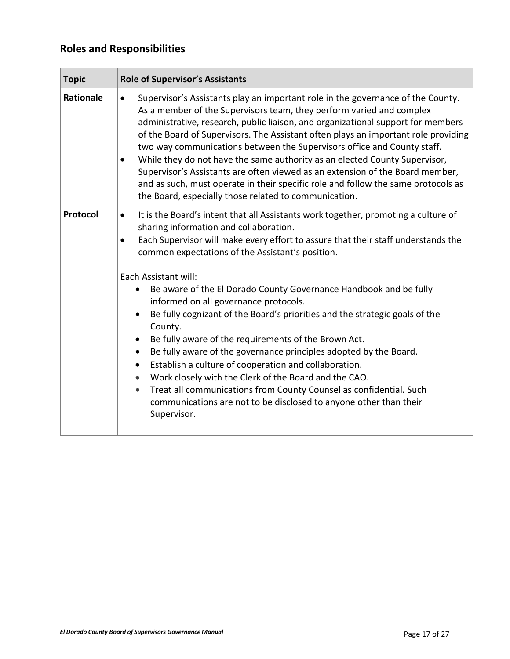| <b>Topic</b>     | <b>Role of Supervisor's Assistants</b>                                                                                                                                                                                                                                                                                                                                                                                                                                                                                                                                                                                                                                                                                                                                                                                                                                                                                                                                                                    |
|------------------|-----------------------------------------------------------------------------------------------------------------------------------------------------------------------------------------------------------------------------------------------------------------------------------------------------------------------------------------------------------------------------------------------------------------------------------------------------------------------------------------------------------------------------------------------------------------------------------------------------------------------------------------------------------------------------------------------------------------------------------------------------------------------------------------------------------------------------------------------------------------------------------------------------------------------------------------------------------------------------------------------------------|
| <b>Rationale</b> | Supervisor's Assistants play an important role in the governance of the County.<br>$\bullet$<br>As a member of the Supervisors team, they perform varied and complex<br>administrative, research, public liaison, and organizational support for members<br>of the Board of Supervisors. The Assistant often plays an important role providing<br>two way communications between the Supervisors office and County staff.<br>While they do not have the same authority as an elected County Supervisor,<br>$\bullet$<br>Supervisor's Assistants are often viewed as an extension of the Board member,<br>and as such, must operate in their specific role and follow the same protocols as<br>the Board, especially those related to communication.                                                                                                                                                                                                                                                       |
| Protocol         | It is the Board's intent that all Assistants work together, promoting a culture of<br>$\bullet$<br>sharing information and collaboration.<br>Each Supervisor will make every effort to assure that their staff understands the<br>$\bullet$<br>common expectations of the Assistant's position.<br>Each Assistant will:<br>Be aware of the El Dorado County Governance Handbook and be fully<br>informed on all governance protocols.<br>Be fully cognizant of the Board's priorities and the strategic goals of the<br>County.<br>Be fully aware of the requirements of the Brown Act.<br>$\bullet$<br>Be fully aware of the governance principles adopted by the Board.<br>$\bullet$<br>Establish a culture of cooperation and collaboration.<br>$\bullet$<br>Work closely with the Clerk of the Board and the CAO.<br>$\bullet$<br>Treat all communications from County Counsel as confidential. Such<br>$\bullet$<br>communications are not to be disclosed to anyone other than their<br>Supervisor. |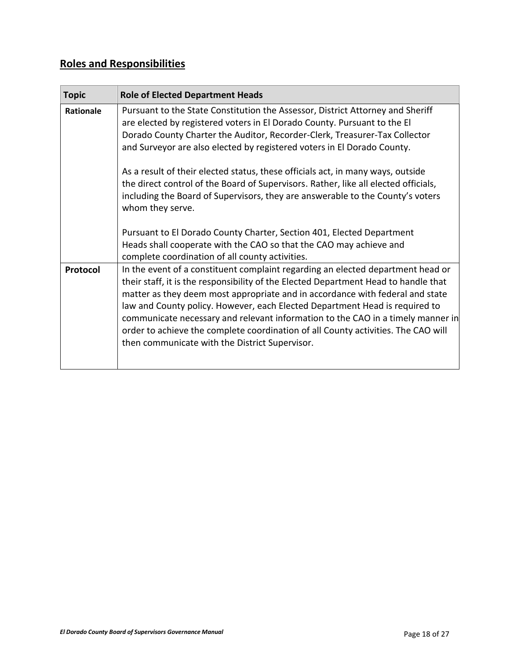<span id="page-17-0"></span>

| <b>Topic</b> | <b>Role of Elected Department Heads</b>                                                                                                                                                                                                                                                                                                                                                                                                                                                                                                                                                                                                                                                                                                                                                               |
|--------------|-------------------------------------------------------------------------------------------------------------------------------------------------------------------------------------------------------------------------------------------------------------------------------------------------------------------------------------------------------------------------------------------------------------------------------------------------------------------------------------------------------------------------------------------------------------------------------------------------------------------------------------------------------------------------------------------------------------------------------------------------------------------------------------------------------|
| Rationale    | Pursuant to the State Constitution the Assessor, District Attorney and Sheriff<br>are elected by registered voters in El Dorado County. Pursuant to the El<br>Dorado County Charter the Auditor, Recorder-Clerk, Treasurer-Tax Collector<br>and Surveyor are also elected by registered voters in El Dorado County.<br>As a result of their elected status, these officials act, in many ways, outside<br>the direct control of the Board of Supervisors. Rather, like all elected officials,<br>including the Board of Supervisors, they are answerable to the County's voters<br>whom they serve.<br>Pursuant to El Dorado County Charter, Section 401, Elected Department<br>Heads shall cooperate with the CAO so that the CAO may achieve and<br>complete coordination of all county activities. |
| Protocol     | In the event of a constituent complaint regarding an elected department head or<br>their staff, it is the responsibility of the Elected Department Head to handle that<br>matter as they deem most appropriate and in accordance with federal and state<br>law and County policy. However, each Elected Department Head is required to<br>communicate necessary and relevant information to the CAO in a timely manner in<br>order to achieve the complete coordination of all County activities. The CAO will<br>then communicate with the District Supervisor.                                                                                                                                                                                                                                      |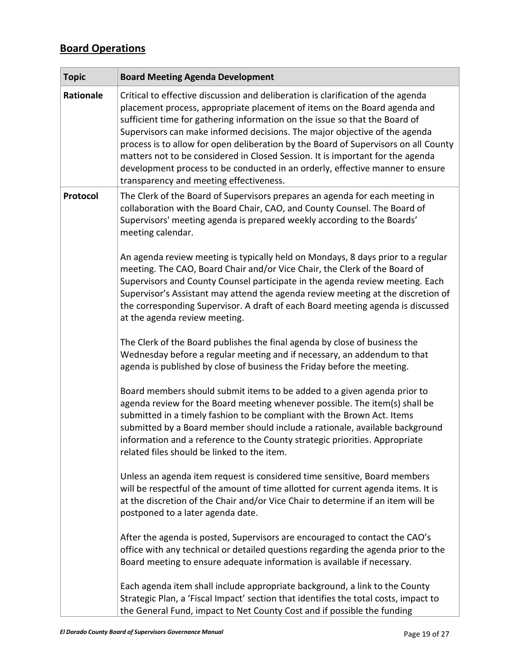# **Board Operations**

| <b>Topic</b> | <b>Board Meeting Agenda Development</b>                                                                                                                                                                                                                                                                                                                                                                                                                                                                                                                                                                                         |
|--------------|---------------------------------------------------------------------------------------------------------------------------------------------------------------------------------------------------------------------------------------------------------------------------------------------------------------------------------------------------------------------------------------------------------------------------------------------------------------------------------------------------------------------------------------------------------------------------------------------------------------------------------|
| Rationale    | Critical to effective discussion and deliberation is clarification of the agenda<br>placement process, appropriate placement of items on the Board agenda and<br>sufficient time for gathering information on the issue so that the Board of<br>Supervisors can make informed decisions. The major objective of the agenda<br>process is to allow for open deliberation by the Board of Supervisors on all County<br>matters not to be considered in Closed Session. It is important for the agenda<br>development process to be conducted in an orderly, effective manner to ensure<br>transparency and meeting effectiveness. |
| Protocol     | The Clerk of the Board of Supervisors prepares an agenda for each meeting in<br>collaboration with the Board Chair, CAO, and County Counsel. The Board of<br>Supervisors' meeting agenda is prepared weekly according to the Boards'<br>meeting calendar.                                                                                                                                                                                                                                                                                                                                                                       |
|              | An agenda review meeting is typically held on Mondays, 8 days prior to a regular<br>meeting. The CAO, Board Chair and/or Vice Chair, the Clerk of the Board of<br>Supervisors and County Counsel participate in the agenda review meeting. Each<br>Supervisor's Assistant may attend the agenda review meeting at the discretion of<br>the corresponding Supervisor. A draft of each Board meeting agenda is discussed<br>at the agenda review meeting.                                                                                                                                                                         |
|              | The Clerk of the Board publishes the final agenda by close of business the<br>Wednesday before a regular meeting and if necessary, an addendum to that<br>agenda is published by close of business the Friday before the meeting.                                                                                                                                                                                                                                                                                                                                                                                               |
|              | Board members should submit items to be added to a given agenda prior to<br>agenda review for the Board meeting whenever possible. The item(s) shall be<br>submitted in a timely fashion to be compliant with the Brown Act. Items<br>submitted by a Board member should include a rationale, available background<br>information and a reference to the County strategic priorities. Appropriate<br>related files should be linked to the item.                                                                                                                                                                                |
|              | Unless an agenda item request is considered time sensitive, Board members<br>will be respectful of the amount of time allotted for current agenda items. It is<br>at the discretion of the Chair and/or Vice Chair to determine if an item will be<br>postponed to a later agenda date.                                                                                                                                                                                                                                                                                                                                         |
|              | After the agenda is posted, Supervisors are encouraged to contact the CAO's<br>office with any technical or detailed questions regarding the agenda prior to the<br>Board meeting to ensure adequate information is available if necessary.                                                                                                                                                                                                                                                                                                                                                                                     |
|              | Each agenda item shall include appropriate background, a link to the County<br>Strategic Plan, a 'Fiscal Impact' section that identifies the total costs, impact to<br>the General Fund, impact to Net County Cost and if possible the funding                                                                                                                                                                                                                                                                                                                                                                                  |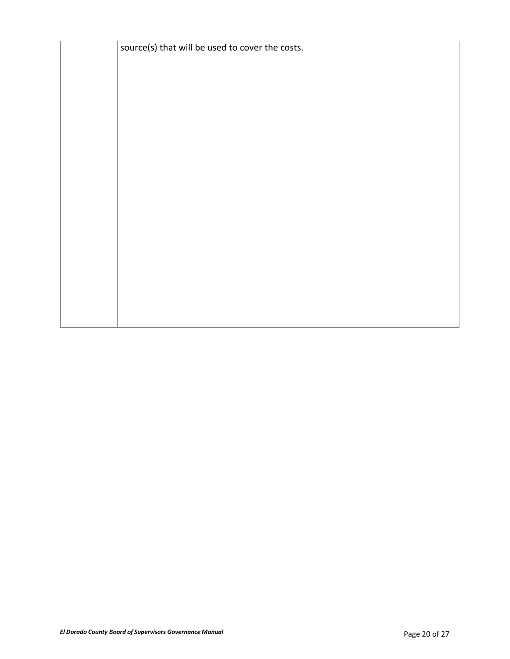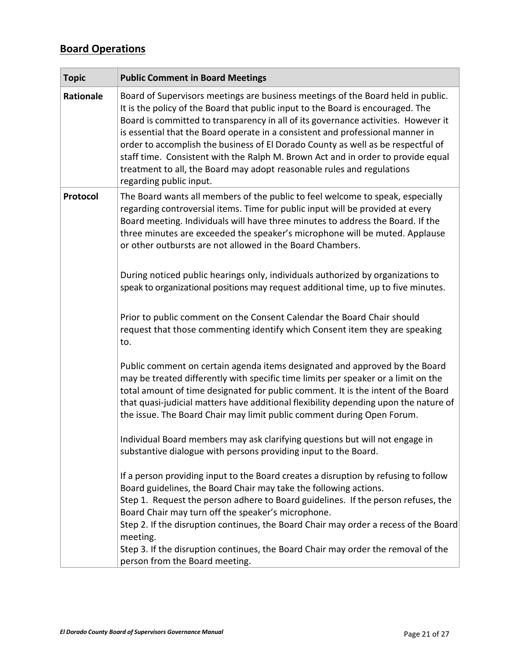# **Board Operations**

| <b>Topic</b> | <b>Public Comment in Board Meetings</b>                                                                                                                                                                                                                                                                                                                                                                                                                                                                                                                                                                                  |
|--------------|--------------------------------------------------------------------------------------------------------------------------------------------------------------------------------------------------------------------------------------------------------------------------------------------------------------------------------------------------------------------------------------------------------------------------------------------------------------------------------------------------------------------------------------------------------------------------------------------------------------------------|
| Rationale    | Board of Supervisors meetings are business meetings of the Board held in public.<br>It is the policy of the Board that public input to the Board is encouraged. The<br>Board is committed to transparency in all of its governance activities. However it<br>is essential that the Board operate in a consistent and professional manner in<br>order to accomplish the business of El Dorado County as well as be respectful of<br>staff time. Consistent with the Ralph M. Brown Act and in order to provide equal<br>treatment to all, the Board may adopt reasonable rules and regulations<br>regarding public input. |
| Protocol     | The Board wants all members of the public to feel welcome to speak, especially<br>regarding controversial items. Time for public input will be provided at every<br>Board meeting. Individuals will have three minutes to address the Board. If the<br>three minutes are exceeded the speaker's microphone will be muted. Applause<br>or other outbursts are not allowed in the Board Chambers.                                                                                                                                                                                                                          |
|              | During noticed public hearings only, individuals authorized by organizations to<br>speak to organizational positions may request additional time, up to five minutes.                                                                                                                                                                                                                                                                                                                                                                                                                                                    |
|              | Prior to public comment on the Consent Calendar the Board Chair should<br>request that those commenting identify which Consent item they are speaking<br>to.                                                                                                                                                                                                                                                                                                                                                                                                                                                             |
|              | Public comment on certain agenda items designated and approved by the Board<br>may be treated differently with specific time limits per speaker or a limit on the<br>total amount of time designated for public comment. It is the intent of the Board<br>that quasi-judicial matters have additional flexibility depending upon the nature of<br>the issue. The Board Chair may limit public comment during Open Forum.                                                                                                                                                                                                 |
|              | Individual Board members may ask clarifying questions but will not engage in<br>substantive dialogue with persons providing input to the Board.                                                                                                                                                                                                                                                                                                                                                                                                                                                                          |
|              | If a person providing input to the Board creates a disruption by refusing to follow<br>Board guidelines, the Board Chair may take the following actions.<br>Step 1. Request the person adhere to Board guidelines. If the person refuses, the<br>Board Chair may turn off the speaker's microphone.<br>Step 2. If the disruption continues, the Board Chair may order a recess of the Board                                                                                                                                                                                                                              |
|              | meeting.<br>Step 3. If the disruption continues, the Board Chair may order the removal of the<br>person from the Board meeting.                                                                                                                                                                                                                                                                                                                                                                                                                                                                                          |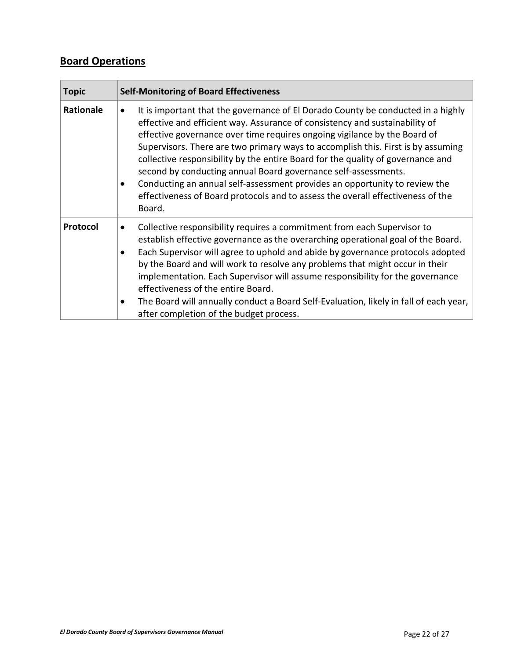### **Board Operations**

| <b>Topic</b>     | <b>Self-Monitoring of Board Effectiveness</b>                                                                                                                                                                                                                                                                                                                                                                                                                                                                                                                                                                                                                                              |
|------------------|--------------------------------------------------------------------------------------------------------------------------------------------------------------------------------------------------------------------------------------------------------------------------------------------------------------------------------------------------------------------------------------------------------------------------------------------------------------------------------------------------------------------------------------------------------------------------------------------------------------------------------------------------------------------------------------------|
| <b>Rationale</b> | It is important that the governance of El Dorado County be conducted in a highly<br>$\bullet$<br>effective and efficient way. Assurance of consistency and sustainability of<br>effective governance over time requires ongoing vigilance by the Board of<br>Supervisors. There are two primary ways to accomplish this. First is by assuming<br>collective responsibility by the entire Board for the quality of governance and<br>second by conducting annual Board governance self-assessments.<br>Conducting an annual self-assessment provides an opportunity to review the<br>$\bullet$<br>effectiveness of Board protocols and to assess the overall effectiveness of the<br>Board. |
| Protocol         | Collective responsibility requires a commitment from each Supervisor to<br>$\bullet$<br>establish effective governance as the overarching operational goal of the Board.<br>Each Supervisor will agree to uphold and abide by governance protocols adopted<br>$\bullet$<br>by the Board and will work to resolve any problems that might occur in their<br>implementation. Each Supervisor will assume responsibility for the governance<br>effectiveness of the entire Board.<br>The Board will annually conduct a Board Self-Evaluation, likely in fall of each year,<br>٠<br>after completion of the budget process.                                                                    |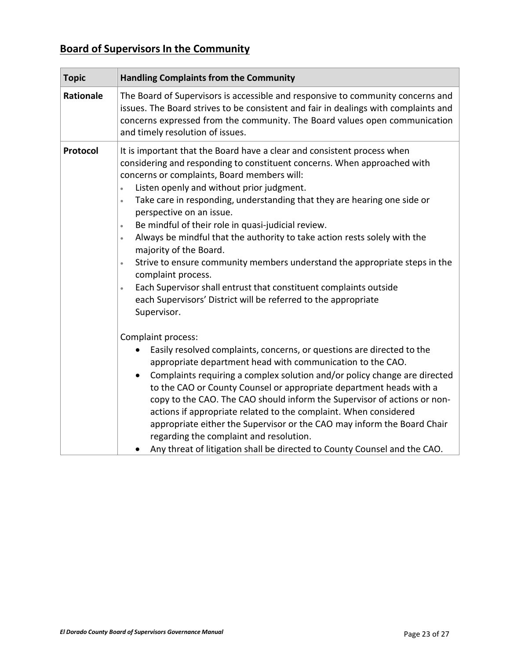# <span id="page-22-0"></span>**Board of Supervisors In the Community**

| <b>Topic</b> | <b>Handling Complaints from the Community</b>                                                                                                                                                                                                                                                                                                                                                                                                                                                                                                                                                                                                                                                                                                                                                                                                                                                                                                                                                                                                                                                                                                                                                                                                              |
|--------------|------------------------------------------------------------------------------------------------------------------------------------------------------------------------------------------------------------------------------------------------------------------------------------------------------------------------------------------------------------------------------------------------------------------------------------------------------------------------------------------------------------------------------------------------------------------------------------------------------------------------------------------------------------------------------------------------------------------------------------------------------------------------------------------------------------------------------------------------------------------------------------------------------------------------------------------------------------------------------------------------------------------------------------------------------------------------------------------------------------------------------------------------------------------------------------------------------------------------------------------------------------|
| Rationale    | The Board of Supervisors is accessible and responsive to community concerns and<br>issues. The Board strives to be consistent and fair in dealings with complaints and<br>concerns expressed from the community. The Board values open communication<br>and timely resolution of issues.                                                                                                                                                                                                                                                                                                                                                                                                                                                                                                                                                                                                                                                                                                                                                                                                                                                                                                                                                                   |
| Protocol     | It is important that the Board have a clear and consistent process when<br>considering and responding to constituent concerns. When approached with<br>concerns or complaints, Board members will:<br>Listen openly and without prior judgment.<br>$\bullet$<br>Take care in responding, understanding that they are hearing one side or<br>$\bullet$<br>perspective on an issue.<br>Be mindful of their role in quasi-judicial review.<br>$\bullet$<br>Always be mindful that the authority to take action rests solely with the<br>$\bullet$<br>majority of the Board.<br>Strive to ensure community members understand the appropriate steps in the<br>$\bullet$<br>complaint process.<br>Each Supervisor shall entrust that constituent complaints outside<br>$\bullet$<br>each Supervisors' District will be referred to the appropriate<br>Supervisor.<br>Complaint process:<br>Easily resolved complaints, concerns, or questions are directed to the<br>appropriate department head with communication to the CAO.<br>Complaints requiring a complex solution and/or policy change are directed<br>to the CAO or County Counsel or appropriate department heads with a<br>copy to the CAO. The CAO should inform the Supervisor of actions or non- |
|              | actions if appropriate related to the complaint. When considered<br>appropriate either the Supervisor or the CAO may inform the Board Chair<br>regarding the complaint and resolution.<br>Any threat of litigation shall be directed to County Counsel and the CAO.                                                                                                                                                                                                                                                                                                                                                                                                                                                                                                                                                                                                                                                                                                                                                                                                                                                                                                                                                                                        |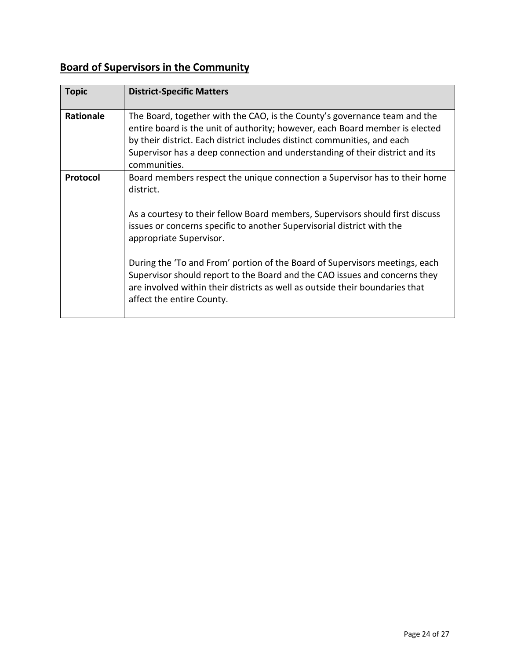# **Board of Supervisors in the Community**

| <b>Topic</b>    | <b>District-Specific Matters</b>                                                                                                                                                                                                                                                                                                                                                                                                                                                                                                                        |
|-----------------|---------------------------------------------------------------------------------------------------------------------------------------------------------------------------------------------------------------------------------------------------------------------------------------------------------------------------------------------------------------------------------------------------------------------------------------------------------------------------------------------------------------------------------------------------------|
| Rationale       | The Board, together with the CAO, is the County's governance team and the<br>entire board is the unit of authority; however, each Board member is elected<br>by their district. Each district includes distinct communities, and each<br>Supervisor has a deep connection and understanding of their district and its<br>communities.                                                                                                                                                                                                                   |
| <b>Protocol</b> | Board members respect the unique connection a Supervisor has to their home<br>district.<br>As a courtesy to their fellow Board members, Supervisors should first discuss<br>issues or concerns specific to another Supervisorial district with the<br>appropriate Supervisor.<br>During the 'To and From' portion of the Board of Supervisors meetings, each<br>Supervisor should report to the Board and the CAO issues and concerns they<br>are involved within their districts as well as outside their boundaries that<br>affect the entire County. |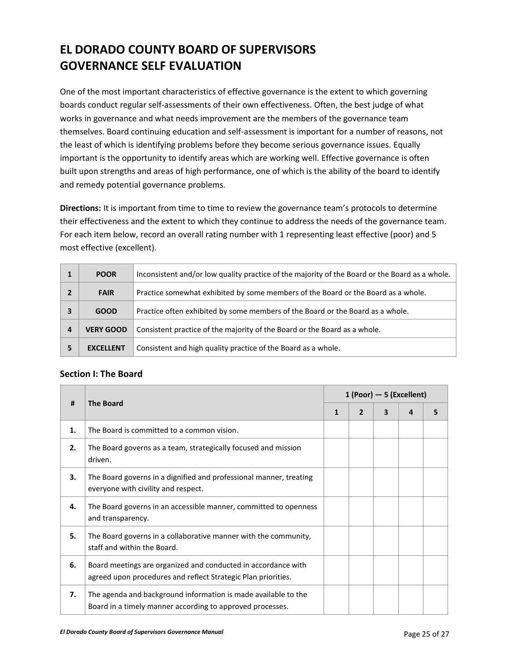# **EL DORADO COUNTY BOARD OF SUPERVISORS GOVERNANCE SELF EVALUATION**

One of the most important characteristics of effective governance is the extent to which governing boards conduct regular self-assessments of their own effectiveness. Often, the best judge of what works in governance and what needs improvement are the members of the governance team themselves. Board continuing education and self-assessment is important for a number of reasons, not the least of which is identifying problems before they become serious governance issues. Equally important is the opportunity to identify areas which are working well. Effective governance is often built upon strengths and areas of high performance, one of which is the ability of the board to identify and remedy potential governance problems.

**Directions:** It is important from time to time to review the governance team's protocols to determine their effectiveness and the extent to which they continue to address the needs of the governance team. For each item below, record an overall rating number with 1 representing least effective (poor) and 5 most effective (excellent).

|   | <b>POOR</b>      | Inconsistent and/or low quality practice of the majority of the Board or the Board as a whole. |
|---|------------------|------------------------------------------------------------------------------------------------|
|   | <b>FAIR</b>      | Practice somewhat exhibited by some members of the Board or the Board as a whole.              |
| 3 | <b>GOOD</b>      | Practice often exhibited by some members of the Board or the Board as a whole.                 |
| 4 | <b>VERY GOOD</b> | Consistent practice of the majority of the Board or the Board as a whole.                      |
| 5 | <b>EXCELLENT</b> | Consistent and high quality practice of the Board as a whole.                                  |

#### **Section I: The Board**

| #  | <b>The Board</b>                                                                                                               | $1 (Poor) - 5 (Excellent)$ |                |   |   |   |  |  |  |
|----|--------------------------------------------------------------------------------------------------------------------------------|----------------------------|----------------|---|---|---|--|--|--|
|    |                                                                                                                                | $\mathbf{1}$               | $\overline{2}$ | 3 | 4 | 5 |  |  |  |
| 1. | The Board is committed to a common vision.                                                                                     |                            |                |   |   |   |  |  |  |
| 2. | The Board governs as a team, strategically focused and mission<br>driven.                                                      |                            |                |   |   |   |  |  |  |
| 3. | The Board governs in a dignified and professional manner, treating<br>everyone with civility and respect.                      |                            |                |   |   |   |  |  |  |
| 4. | The Board governs in an accessible manner, committed to openness<br>and transparency.                                          |                            |                |   |   |   |  |  |  |
| 5. | The Board governs in a collaborative manner with the community,<br>staff and within the Board.                                 |                            |                |   |   |   |  |  |  |
| 6. | Board meetings are organized and conducted in accordance with<br>agreed upon procedures and reflect Strategic Plan priorities. |                            |                |   |   |   |  |  |  |
| 7. | The agenda and background information is made available to the<br>Board in a timely manner according to approved processes.    |                            |                |   |   |   |  |  |  |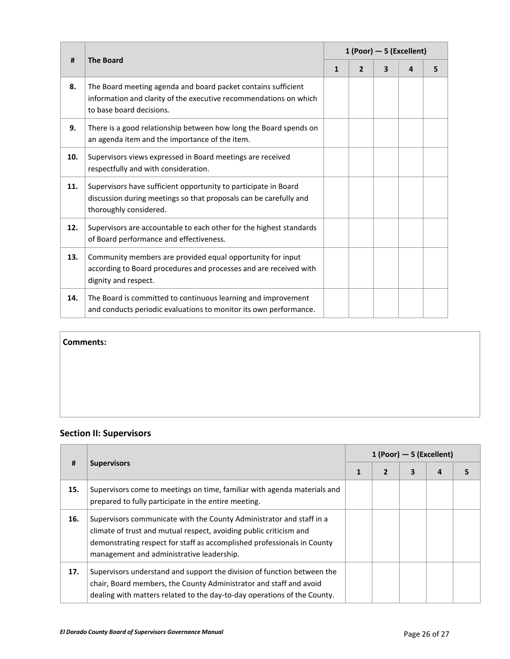| #   | <b>The Board</b>                                                                                                                                               | $1 (Poor) - 5 (Excellent)$ |                |   |   |   |  |  |
|-----|----------------------------------------------------------------------------------------------------------------------------------------------------------------|----------------------------|----------------|---|---|---|--|--|
|     |                                                                                                                                                                | $\mathbf{1}$               | $\overline{2}$ | 3 | 4 | 5 |  |  |
| 8.  | The Board meeting agenda and board packet contains sufficient<br>information and clarity of the executive recommendations on which<br>to base board decisions. |                            |                |   |   |   |  |  |
| 9.  | There is a good relationship between how long the Board spends on<br>an agenda item and the importance of the item.                                            |                            |                |   |   |   |  |  |
| 10. | Supervisors views expressed in Board meetings are received<br>respectfully and with consideration.                                                             |                            |                |   |   |   |  |  |
| 11. | Supervisors have sufficient opportunity to participate in Board<br>discussion during meetings so that proposals can be carefully and<br>thoroughly considered. |                            |                |   |   |   |  |  |
| 12. | Supervisors are accountable to each other for the highest standards<br>of Board performance and effectiveness.                                                 |                            |                |   |   |   |  |  |
| 13. | Community members are provided equal opportunity for input<br>according to Board procedures and processes and are received with<br>dignity and respect.        |                            |                |   |   |   |  |  |
| 14. | The Board is committed to continuous learning and improvement<br>and conducts periodic evaluations to monitor its own performance.                             |                            |                |   |   |   |  |  |

#### **Comments:**

### **Section II: Supervisors**

| #   | <b>Supervisors</b>                                                                                                                                                                                                                                                 | $1$ (Poor) $-5$ (Excellent) |                |   |   |  |  |  |
|-----|--------------------------------------------------------------------------------------------------------------------------------------------------------------------------------------------------------------------------------------------------------------------|-----------------------------|----------------|---|---|--|--|--|
|     |                                                                                                                                                                                                                                                                    |                             | $\overline{2}$ | 3 | 4 |  |  |  |
| 15. | Supervisors come to meetings on time, familiar with agenda materials and<br>prepared to fully participate in the entire meeting.                                                                                                                                   |                             |                |   |   |  |  |  |
| 16. | Supervisors communicate with the County Administrator and staff in a<br>climate of trust and mutual respect, avoiding public criticism and<br>demonstrating respect for staff as accomplished professionals in County<br>management and administrative leadership. |                             |                |   |   |  |  |  |
| 17. | Supervisors understand and support the division of function between the<br>chair, Board members, the County Administrator and staff and avoid<br>dealing with matters related to the day-to-day operations of the County.                                          |                             |                |   |   |  |  |  |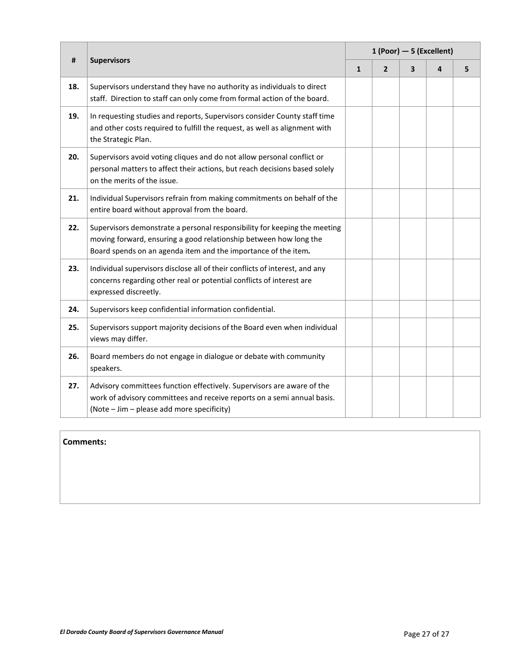| #   | <b>Supervisors</b>                                                                                                                                                                                               | $1 (Poor) - 5 (Excellent)$ |                |   |   |   |  |  |  |
|-----|------------------------------------------------------------------------------------------------------------------------------------------------------------------------------------------------------------------|----------------------------|----------------|---|---|---|--|--|--|
|     |                                                                                                                                                                                                                  | $\mathbf{1}$               | $\overline{2}$ | 3 | 4 | 5 |  |  |  |
| 18. | Supervisors understand they have no authority as individuals to direct<br>staff. Direction to staff can only come from formal action of the board.                                                               |                            |                |   |   |   |  |  |  |
| 19. | In requesting studies and reports, Supervisors consider County staff time<br>and other costs required to fulfill the request, as well as alignment with<br>the Strategic Plan.                                   |                            |                |   |   |   |  |  |  |
| 20. | Supervisors avoid voting cliques and do not allow personal conflict or<br>personal matters to affect their actions, but reach decisions based solely<br>on the merits of the issue.                              |                            |                |   |   |   |  |  |  |
| 21. | Individual Supervisors refrain from making commitments on behalf of the<br>entire board without approval from the board.                                                                                         |                            |                |   |   |   |  |  |  |
| 22. | Supervisors demonstrate a personal responsibility for keeping the meeting<br>moving forward, ensuring a good relationship between how long the<br>Board spends on an agenda item and the importance of the item. |                            |                |   |   |   |  |  |  |
| 23. | Individual supervisors disclose all of their conflicts of interest, and any<br>concerns regarding other real or potential conflicts of interest are<br>expressed discreetly.                                     |                            |                |   |   |   |  |  |  |
| 24. | Supervisors keep confidential information confidential.                                                                                                                                                          |                            |                |   |   |   |  |  |  |
| 25. | Supervisors support majority decisions of the Board even when individual<br>views may differ.                                                                                                                    |                            |                |   |   |   |  |  |  |
| 26. | Board members do not engage in dialogue or debate with community<br>speakers.                                                                                                                                    |                            |                |   |   |   |  |  |  |
| 27. | Advisory committees function effectively. Supervisors are aware of the<br>work of advisory committees and receive reports on a semi annual basis.<br>(Note - Jim - please add more specificity)                  |                            |                |   |   |   |  |  |  |

#### **Comments:**